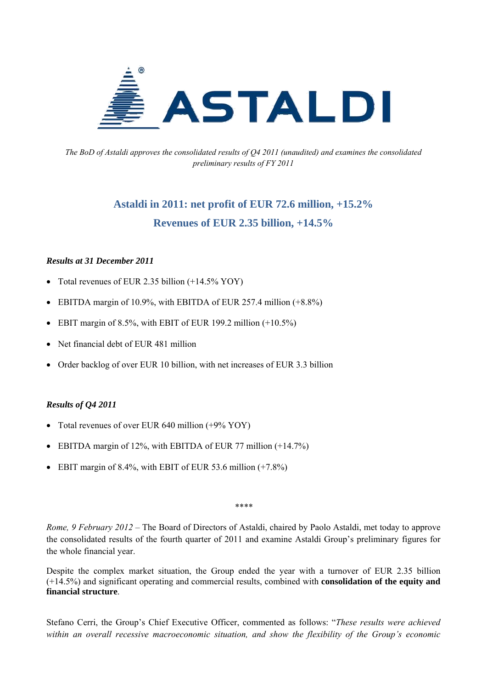

*The BoD of Astaldi approves the consolidated results of Q4 2011 (unaudited) and examines the consolidated preliminary results of FY 2011* 

# **Astaldi in 2011: net profit of EUR 72.6 million, +15.2% Revenues of EUR 2.35 billion, +14.5%**

### *Results at 31 December 2011*

- Total revenues of EUR 2.35 billion (+14.5% YOY)
- EBITDA margin of 10.9%, with EBITDA of EUR 257.4 million (+8.8%)
- EBIT margin of 8.5%, with EBIT of EUR 199.2 million  $(+10.5%)$
- Net financial debt of EUR 481 million
- Order backlog of over EUR 10 billion, with net increases of EUR 3.3 billion

## *Results of Q4 2011*

- Total revenues of over EUR 640 million (+9% YOY)
- EBITDA margin of 12%, with EBITDA of EUR 77 million (+14.7%)
- EBIT margin of 8.4%, with EBIT of EUR 53.6 million  $(+7.8\%)$

*\*\*\*\** 

*Rome, 9 February 2012* – The Board of Directors of Astaldi, chaired by Paolo Astaldi, met today to approve the consolidated results of the fourth quarter of 2011 and examine Astaldi Group's preliminary figures for the whole financial year.

Despite the complex market situation, the Group ended the year with a turnover of EUR 2.35 billion (+14.5%) and significant operating and commercial results, combined with **consolidation of the equity and financial structure**.

Stefano Cerri, the Group's Chief Executive Officer, commented as follows: "*These results were achieved within an overall recessive macroeconomic situation, and show the flexibility of the Group's economic*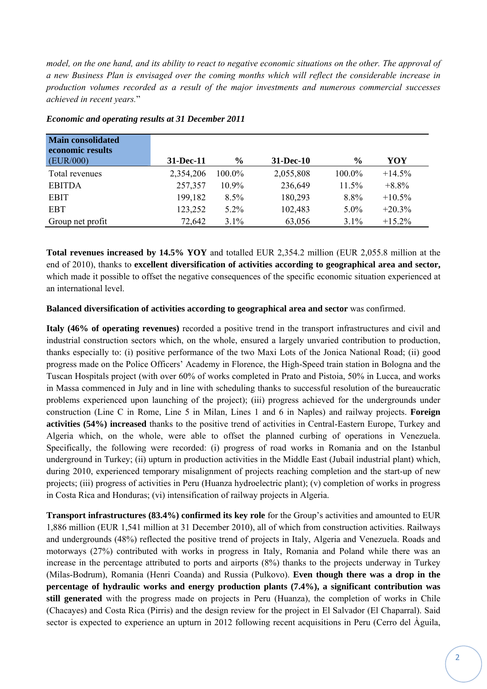*model, on the one hand, and its ability to react to negative economic situations on the other. The approval of a new Business Plan is envisaged over the coming months which will reflect the considerable increase in production volumes recorded as a result of the major investments and numerous commercial successes achieved in recent years.*"

| <b>Main consolidated</b><br>economic results<br>(EUR/000) | 31-Dec-11 | $\frac{6}{9}$ | $31 - Dec-10$ | $\frac{0}{0}$ | YOY       |
|-----------------------------------------------------------|-----------|---------------|---------------|---------------|-----------|
| Total revenues                                            | 2,354,206 | 100.0%        | 2,055,808     | 100.0%        | $+14.5%$  |
| <b>EBITDA</b>                                             | 257,357   | 10.9%         | 236,649       | 11.5%         | $+8.8%$   |
| <b>EBIT</b>                                               | 199,182   | 8.5%          | 180,293       | 8.8%          | $+10.5\%$ |
| <b>EBT</b>                                                | 123,252   | $5.2\%$       | 102,483       | $5.0\%$       | $+20.3%$  |
| Group net profit                                          | 72,642    | 3.1%          | 63,056        | 3.1%          | $+15.2%$  |

#### *Economic and operating results at 31 December 2011*

**Total revenues increased by 14.5% YOY** and totalled EUR 2,354.2 million (EUR 2,055.8 million at the end of 2010), thanks to **excellent diversification of activities according to geographical area and sector,** which made it possible to offset the negative consequences of the specific economic situation experienced at an international level.

**Balanced diversification of activities according to geographical area and sector** was confirmed.

**Italy (46% of operating revenues)** recorded a positive trend in the transport infrastructures and civil and industrial construction sectors which, on the whole, ensured a largely unvaried contribution to production, thanks especially to: (i) positive performance of the two Maxi Lots of the Jonica National Road; (ii) good progress made on the Police Officers' Academy in Florence, the High-Speed train station in Bologna and the Tuscan Hospitals project (with over 60% of works completed in Prato and Pistoia, 50% in Lucca, and works in Massa commenced in July and in line with scheduling thanks to successful resolution of the bureaucratic problems experienced upon launching of the project); (iii) progress achieved for the undergrounds under construction (Line C in Rome, Line 5 in Milan, Lines 1 and 6 in Naples) and railway projects. **Foreign activities (54%) increased** thanks to the positive trend of activities in Central-Eastern Europe, Turkey and Algeria which, on the whole, were able to offset the planned curbing of operations in Venezuela. Specifically, the following were recorded: (i) progress of road works in Romania and on the Istanbul underground in Turkey; (ii) upturn in production activities in the Middle East (Jubail industrial plant) which, during 2010, experienced temporary misalignment of projects reaching completion and the start-up of new projects; (iii) progress of activities in Peru (Huanza hydroelectric plant); (v) completion of works in progress in Costa Rica and Honduras; (vi) intensification of railway projects in Algeria.

**Transport infrastructures (83.4%) confirmed its key role** for the Group's activities and amounted to EUR 1,886 million (EUR 1,541 million at 31 December 2010), all of which from construction activities. Railways and undergrounds (48%) reflected the positive trend of projects in Italy, Algeria and Venezuela. Roads and motorways (27%) contributed with works in progress in Italy, Romania and Poland while there was an increase in the percentage attributed to ports and airports (8%) thanks to the projects underway in Turkey (Milas-Bodrum), Romania (Henri Coanda) and Russia (Pulkovo). **Even though there was a drop in the percentage of hydraulic works and energy production plants (7.4%), a significant contribution was still generated** with the progress made on projects in Peru (Huanza), the completion of works in Chile (Chacayes) and Costa Rica (Pirris) and the design review for the project in El Salvador (El Chaparral). Said sector is expected to experience an upturn in 2012 following recent acquisitions in Peru (Cerro del Àguila,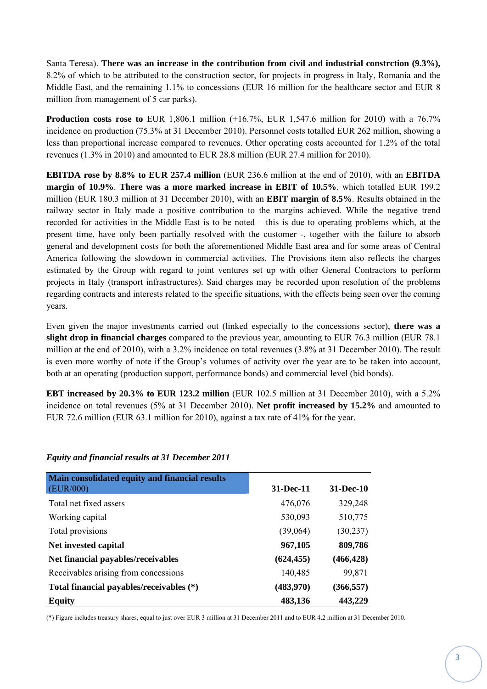Santa Teresa). **There was an increase in the contribution from civil and industrial constrction (9.3%),**  8.2% of which to be attributed to the construction sector, for projects in progress in Italy, Romania and the Middle East, and the remaining 1.1% to concessions (EUR 16 million for the healthcare sector and EUR 8 million from management of 5 car parks).

**Production costs rose to** EUR 1,806.1 million (+16.7%, EUR 1,547.6 million for 2010) with a 76.7% incidence on production (75.3% at 31 December 2010). Personnel costs totalled EUR 262 million, showing a less than proportional increase compared to revenues. Other operating costs accounted for 1.2% of the total revenues (1.3% in 2010) and amounted to EUR 28.8 million (EUR 27.4 million for 2010).

**EBITDA rose by 8.8% to EUR 257.4 million** (EUR 236.6 million at the end of 2010), with an **EBITDA margin of 10.9%**. **There was a more marked increase in EBIT of 10.5%**, which totalled EUR 199.2 million (EUR 180.3 million at 31 December 2010), with an **EBIT margin of 8.5%**. Results obtained in the railway sector in Italy made a positive contribution to the margins achieved. While the negative trend recorded for activities in the Middle East is to be noted – this is due to operating problems which, at the present time, have only been partially resolved with the customer -, together with the failure to absorb general and development costs for both the aforementioned Middle East area and for some areas of Central America following the slowdown in commercial activities. The Provisions item also reflects the charges estimated by the Group with regard to joint ventures set up with other General Contractors to perform projects in Italy (transport infrastructures). Said charges may be recorded upon resolution of the problems regarding contracts and interests related to the specific situations, with the effects being seen over the coming years.

Even given the major investments carried out (linked especially to the concessions sector), **there was a slight drop in financial charges** compared to the previous year, amounting to EUR 76.3 million (EUR 78.1 million at the end of 2010), with a 3.2% incidence on total revenues (3.8% at 31 December 2010). The result is even more worthy of note if the Group's volumes of activity over the year are to be taken into account, both at an operating (production support, performance bonds) and commercial level (bid bonds).

**EBT increased by 20.3% to EUR 123.2 million** (EUR 102.5 million at 31 December 2010), with a 5.2% incidence on total revenues (5% at 31 December 2010). **Net profit increased by 15.2%** and amounted to EUR 72.6 million (EUR 63.1 million for 2010), against a tax rate of 41% for the year.

| Main consolidated equity and financial results<br>(EUR/000) | 31-Dec-11  | 31-Dec-10  |
|-------------------------------------------------------------|------------|------------|
| Total net fixed assets                                      | 476,076    | 329,248    |
| Working capital                                             | 530,093    | 510,775    |
| Total provisions                                            | (39,064)   | (30, 237)  |
| Net invested capital                                        | 967,105    | 809,786    |
| Net financial payables/receivables                          | (624, 455) | (466, 428) |
| Receivables arising from concessions                        | 140,485    | 99,871     |
| Total financial payables/receivables (*)                    | (483,970)  | (366, 557) |
| <b>Equity</b>                                               | 483,136    | 443,229    |

#### *Equity and financial results at 31 December 2011*

(\*) Figure includes treasury shares, equal to just over EUR 3 million at 31 December 2011 and to EUR 4.2 million at 31 December 2010.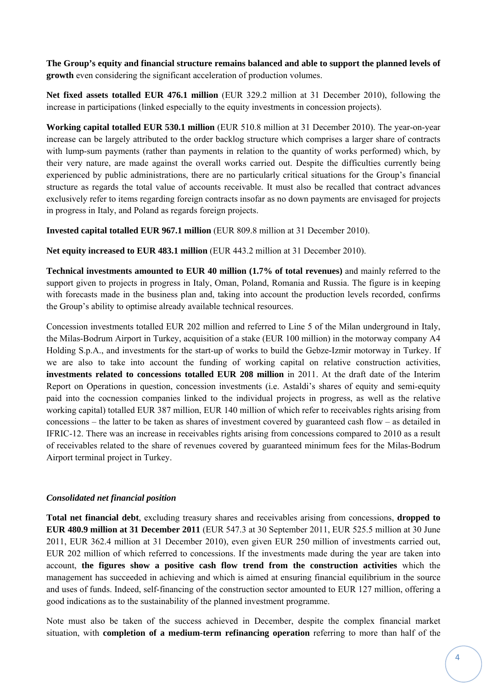**The Group's equity and financial structure remains balanced and able to support the planned levels of growth** even considering the significant acceleration of production volumes.

**Net fixed assets totalled EUR 476.1 million** (EUR 329.2 million at 31 December 2010), following the increase in participations (linked especially to the equity investments in concession projects).

**Working capital totalled EUR 530.1 million** (EUR 510.8 million at 31 December 2010). The year-on-year increase can be largely attributed to the order backlog structure which comprises a larger share of contracts with lump-sum payments (rather than payments in relation to the quantity of works performed) which, by their very nature, are made against the overall works carried out. Despite the difficulties currently being experienced by public administrations, there are no particularly critical situations for the Group's financial structure as regards the total value of accounts receivable. It must also be recalled that contract advances exclusively refer to items regarding foreign contracts insofar as no down payments are envisaged for projects in progress in Italy, and Poland as regards foreign projects.

**Invested capital totalled EUR 967.1 million** (EUR 809.8 million at 31 December 2010).

**Net equity increased to EUR 483.1 million** (EUR 443.2 million at 31 December 2010).

**Technical investments amounted to EUR 40 million (1.7% of total revenues)** and mainly referred to the support given to projects in progress in Italy, Oman, Poland, Romania and Russia. The figure is in keeping with forecasts made in the business plan and, taking into account the production levels recorded, confirms the Group's ability to optimise already available technical resources.

Concession investments totalled EUR 202 million and referred to Line 5 of the Milan underground in Italy, the Milas-Bodrum Airport in Turkey, acquisition of a stake (EUR 100 million) in the motorway company A4 Holding S.p.A., and investments for the start-up of works to build the Gebze-Izmir motorway in Turkey. If we are also to take into account the funding of working capital on relative construction activities, **investments related to concessions totalled EUR 208 million** in 2011. At the draft date of the Interim Report on Operations in question, concession investments (i.e. Astaldi's shares of equity and semi-equity paid into the cocnession companies linked to the individual projects in progress, as well as the relative working capital) totalled EUR 387 million, EUR 140 million of which refer to receivables rights arising from concessions – the latter to be taken as shares of investment covered by guaranteed cash flow – as detailed in IFRIC-12. There was an increase in receivables rights arising from concessions compared to 2010 as a result of receivables related to the share of revenues covered by guaranteed minimum fees for the Milas-Bodrum Airport terminal project in Turkey.

#### *Consolidated net financial position*

**Total net financial debt**, excluding treasury shares and receivables arising from concessions, **dropped to EUR 480.9 million at 31 December 2011** (EUR 547.3 at 30 September 2011, EUR 525.5 million at 30 June 2011, EUR 362.4 million at 31 December 2010), even given EUR 250 million of investments carried out, EUR 202 million of which referred to concessions. If the investments made during the year are taken into account, **the figures show a positive cash flow trend from the construction activities** which the management has succeeded in achieving and which is aimed at ensuring financial equilibrium in the source and uses of funds. Indeed, self-financing of the construction sector amounted to EUR 127 million, offering a good indications as to the sustainability of the planned investment programme.

Note must also be taken of the success achieved in December, despite the complex financial market situation, with **completion of a medium-term refinancing operation** referring to more than half of the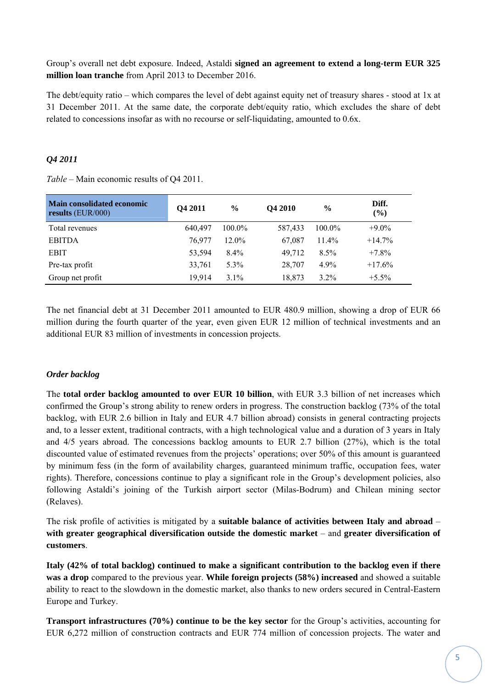Group's overall net debt exposure. Indeed, Astaldi **signed an agreement to extend a long-term EUR 325 million loan tranche** from April 2013 to December 2016.

The debt/equity ratio – which compares the level of debt against equity net of treasury shares - stood at 1x at 31 December 2011. At the same date, the corporate debt/equity ratio, which excludes the share of debt related to concessions insofar as with no recourse or self-liquidating, amounted to 0.6x.

# *Q4 2011*

| <b>Main consolidated economic</b><br>results (EUR/000) | Q4 2011 | $\frac{6}{9}$ | Q4 2010 | $\frac{6}{9}$ | Diff.<br>(%) |
|--------------------------------------------------------|---------|---------------|---------|---------------|--------------|
| Total revenues                                         | 640.497 | 100.0%        | 587,433 | $100.0\%$     | $+9.0\%$     |
| <b>EBITDA</b>                                          | 76.977  | 12.0%         | 67,087  | 11.4%         | $+14.7%$     |
| EBIT                                                   | 53,594  | $8.4\%$       | 49,712  | $8.5\%$       | $+7.8%$      |
| Pre-tax profit                                         | 33,761  | $5.3\%$       | 28.707  | 4.9%          | $+17.6%$     |
| Group net profit                                       | 19.914  | $3.1\%$       | 18,873  | $3.2\%$       | $+5.5\%$     |

*Table* – Main economic results of Q4 2011.

The net financial debt at 31 December 2011 amounted to EUR 480.9 million, showing a drop of EUR 66 million during the fourth quarter of the year, even given EUR 12 million of technical investments and an additional EUR 83 million of investments in concession projects.

## *Order backlog*

The **total order backlog amounted to over EUR 10 billion**, with EUR 3.3 billion of net increases which confirmed the Group's strong ability to renew orders in progress. The construction backlog (73% of the total backlog, with EUR 2.6 billion in Italy and EUR 4.7 billion abroad) consists in general contracting projects and, to a lesser extent, traditional contracts, with a high technological value and a duration of 3 years in Italy and 4/5 years abroad. The concessions backlog amounts to EUR 2.7 billion (27%), which is the total discounted value of estimated revenues from the projects' operations; over 50% of this amount is guaranteed by minimum fess (in the form of availability charges, guaranteed minimum traffic, occupation fees, water rights). Therefore, concessions continue to play a significant role in the Group's development policies, also following Astaldi's joining of the Turkish airport sector (Milas-Bodrum) and Chilean mining sector (Relaves).

The risk profile of activities is mitigated by a **suitable balance of activities between Italy and abroad** – **with greater geographical diversification outside the domestic market** – and **greater diversification of customers**.

**Italy (42% of total backlog) continued to make a significant contribution to the backlog even if there was a drop** compared to the previous year. **While foreign projects (58%) increased** and showed a suitable ability to react to the slowdown in the domestic market, also thanks to new orders secured in Central-Eastern Europe and Turkey.

**Transport infrastructures (70%) continue to be the key sector** for the Group's activities, accounting for EUR 6,272 million of construction contracts and EUR 774 million of concession projects. The water and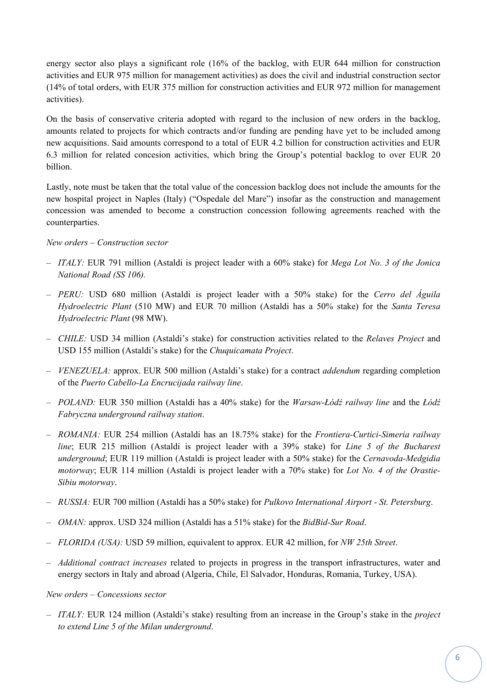energy sector also plays a significant role (16% of the backlog, with EUR 644 million for construction activities and EUR 975 million for management activities) as does the civil and industrial construction sector (14% of total orders, with EUR 375 million for construction activities and EUR 972 million for management activities).

On the basis of conservative criteria adopted with regard to the inclusion of new orders in the backlog, amounts related to projects for which contracts and/or funding are pending have yet to be included among new acquisitions. Said amounts correspond to a total of EUR 4.2 billion for construction activities and EUR 6.3 million for related concesion activities, which bring the Group's potential backlog to over EUR 20 billion.

Lastly, note must be taken that the total value of the concession backlog does not include the amounts for the new hospital project in Naples (Italy) ("Ospedale del Mare") insofar as the construction and management concession was amended to become a construction concession following agreements reached with the counterparties.

## *New orders – Construction sector*

- ‒ *ITALY:* EUR 791 million (Astaldi is project leader with a 60% stake) for *Mega Lot No. 3 of the Jonica National Road (SS 106).*
- ‒ *PERU:* USD 680 million (Astaldi is project leader with a 50% stake) for the *Cerro del Águila Hydroelectric Plant* (510 MW) and EUR 70 million (Astaldi has a 50% stake) for the *Santa Teresa Hydroelectric Plant* (98 MW).
- ‒ *CHILE:* USD 34 million (Astaldi's stake) for construction activities related to the *Relaves Project* and USD 155 million (Astaldi's stake) for the *Chuquicamata Project*.
- ‒ *VENEZUELA:* approx. EUR 500 million (Astaldi's stake) for a contract *addendum* regarding completion of the *Puerto Cabello-La Encrucijada railway line*.
- ‒ *POLAND:* EUR 350 million (Astaldi has a 40% stake) for the *Warsaw-Łódź railway line* and the *Łódź Fabryczna underground railway station*.
- ‒ *ROMANIA:* EUR 254 million (Astaldi has an 18.75% stake) for the *Frontiera-Curtici-Simeria railway line*; EUR 215 million (Astaldi is project leader with a 39% stake) for *Line 5 of the Bucharest underground*; EUR 119 million (Astaldi is project leader with a 50% stake) for the *Cernavoda-Medgidia motorway*; EUR 114 million (Astaldi is project leader with a 70% stake) for *Lot No. 4 of the Orastie-Sibiu motorway*.
- ‒ *RUSSIA:* EUR 700 million (Astaldi has a 50% stake) for *Pulkovo International Airport St. Petersburg*.
- ‒ *OMAN:* approx. USD 324 million (Astaldi has a 51% stake) for the *BidBid-Sur Road*.
- ‒ *FLORIDA (USA):* USD 59 million, equivalent to approx. EUR 42 million, for *NW 25th Street*.
- ‒ *Additional contract increases* related to projects in progress in the transport infrastructures, water and energy sectors in Italy and abroad (Algeria, Chile, El Salvador, Honduras, Romania, Turkey, USA).

#### *New orders – Concessions sector*

‒ *ITALY:* EUR 124 million (Astaldi's stake) resulting from an increase in the Group's stake in the *project to extend Line 5 of the Milan underground*.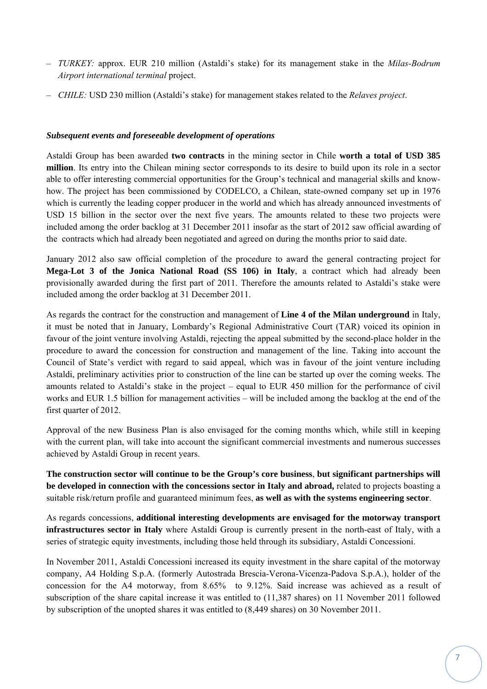- ‒ *TURKEY:* approx. EUR 210 million (Astaldi's stake) for its management stake in the *Milas-Bodrum Airport international terminal* project.
- ‒ *CHILE:* USD 230 million (Astaldi's stake) for management stakes related to the *Relaves project*.

### *Subsequent events and foreseeable development of operations*

Astaldi Group has been awarded **two contracts** in the mining sector in Chile **worth a total of USD 385 million**. Its entry into the Chilean mining sector corresponds to its desire to build upon its role in a sector able to offer interesting commercial opportunities for the Group's technical and managerial skills and knowhow. The project has been commissioned by CODELCO, a Chilean, state-owned company set up in 1976 which is currently the leading copper producer in the world and which has already announced investments of USD 15 billion in the sector over the next five years. The amounts related to these two projects were included among the order backlog at 31 December 2011 insofar as the start of 2012 saw official awarding of the contracts which had already been negotiated and agreed on during the months prior to said date.

January 2012 also saw official completion of the procedure to award the general contracting project for **Mega-Lot 3 of the Jonica National Road (SS 106) in Italy**, a contract which had already been provisionally awarded during the first part of 2011. Therefore the amounts related to Astaldi's stake were included among the order backlog at 31 December 2011.

As regards the contract for the construction and management of **Line 4 of the Milan underground** in Italy, it must be noted that in January, Lombardy's Regional Administrative Court (TAR) voiced its opinion in favour of the joint venture involving Astaldi, rejecting the appeal submitted by the second-place holder in the procedure to award the concession for construction and management of the line. Taking into account the Council of State's verdict with regard to said appeal, which was in favour of the joint venture including Astaldi, preliminary activities prior to construction of the line can be started up over the coming weeks. The amounts related to Astaldi's stake in the project – equal to EUR 450 million for the performance of civil works and EUR 1.5 billion for management activities – will be included among the backlog at the end of the first quarter of 2012.

Approval of the new Business Plan is also envisaged for the coming months which, while still in keeping with the current plan, will take into account the significant commercial investments and numerous successes achieved by Astaldi Group in recent years.

**The construction sector will continue to be the Group's core business**, **but significant partnerships will be developed in connection with the concessions sector in Italy and abroad,** related to projects boasting a suitable risk/return profile and guaranteed minimum fees, **as well as with the systems engineering sector**.

As regards concessions, **additional interesting developments are envisaged for the motorway transport infrastructures sector in Italy** where Astaldi Group is currently present in the north-east of Italy, with a series of strategic equity investments, including those held through its subsidiary, Astaldi Concessioni.

In November 2011, Astaldi Concessioni increased its equity investment in the share capital of the motorway company, A4 Holding S.p.A. (formerly Autostrada Brescia-Verona-Vicenza-Padova S.p.A.), holder of the concession for the A4 motorway, from 8.65% to 9.12%. Said increase was achieved as a result of subscription of the share capital increase it was entitled to (11,387 shares) on 11 November 2011 followed by subscription of the unopted shares it was entitled to (8,449 shares) on 30 November 2011.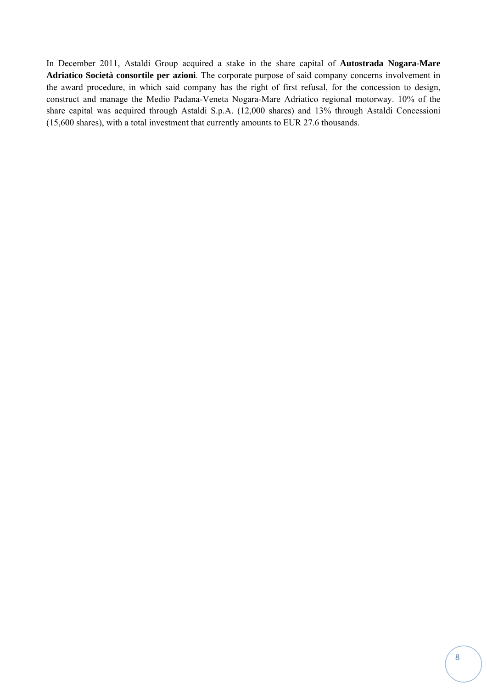In December 2011, Astaldi Group acquired a stake in the share capital of **Autostrada Nogara-Mare Adriatico Società consortile per azioni**. The corporate purpose of said company concerns involvement in the award procedure, in which said company has the right of first refusal, for the concession to design, construct and manage the Medio Padana-Veneta Nogara-Mare Adriatico regional motorway. 10% of the share capital was acquired through Astaldi S.p.A. (12,000 shares) and 13% through Astaldi Concessioni (15,600 shares), with a total investment that currently amounts to EUR 27.6 thousands.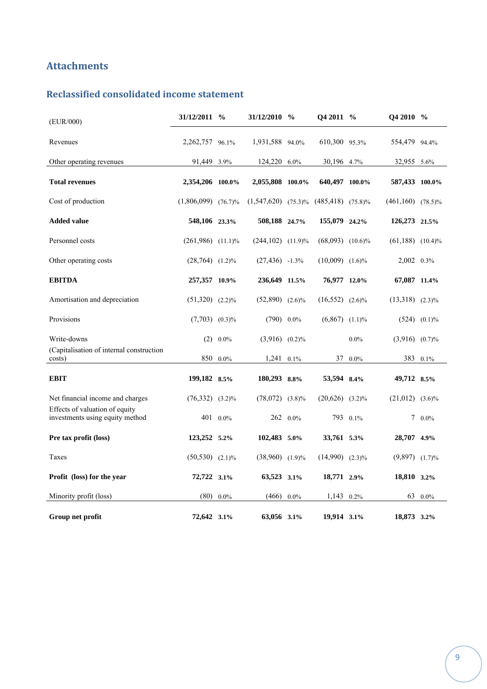# **Attachments**

# **Reclassified consolidated income statement**

| (EUR/000)                                                         | 31/12/2011 %             |             | 31/12/2010               | $\frac{0}{0}$ | Q4 2011 %               |         | Q4 2010 %               |                   |
|-------------------------------------------------------------------|--------------------------|-------------|--------------------------|---------------|-------------------------|---------|-------------------------|-------------------|
| Revenues                                                          | 2,262,757 96.1%          |             | 1,931,588 94.0%          |               | 610,300 95.3%           |         | 554,479 94.4%           |                   |
| Other operating revenues                                          | 91,449 3.9%              |             | 124,220 6.0%             |               | 30,196 4.7%             |         | 32,955 5.6%             |                   |
| <b>Total revenues</b>                                             | 2,354,206 100.0%         |             | 2,055,808 100.0%         |               | 640,497 100.0%          |         | 587,433 100.0%          |                   |
| Cost of production                                                | $(1,806,099)$ $(76.7)\%$ |             | $(1,547,620)$ $(75.3)\%$ |               | $(485, 418)$ $(75.8)\%$ |         | $(461, 160)$ $(78.5)\%$ |                   |
| <b>Added value</b>                                                | 548,106 23.3%            |             | 508,188 24.7%            |               | 155,079 24.2%           |         | 126,273 21.5%           |                   |
| Personnel costs                                                   | $(261,986)$ $(11.1)\%$   |             | $(244,102)$ $(11.9)\%$   |               | $(68,093)$ $(10.6)\%$   |         | $(61,188)$ $(10.4)\%$   |                   |
| Other operating costs                                             | $(28, 764)$ $(1.2)\%$    |             | $(27, 436)$ -1.3%        |               | $(10,009)$ $(1.6)\%$    |         | 2,002 0.3%              |                   |
| <b>EBITDA</b>                                                     | 257,357 10.9%            |             | 236,649 11.5%            |               | 76,977 12.0%            |         | 67,087 11.4%            |                   |
| Amortisation and depreciation                                     | $(51,320)$ $(2.2)\%$     |             | $(52,890)$ $(2.6)\%$     |               | $(16,552)$ $(2.6)\%$    |         | $(13,318)$ $(2.3)\%$    |                   |
| Provisions                                                        | $(7,703)$ $(0.3)\%$      |             | $(790)$ 0.0%             |               | $(6,867)$ $(1.1)\%$     |         |                         | $(524)$ $(0.1)\%$ |
| Write-downs                                                       | (2)                      | $0.0\%$     | $(3,916)$ $(0.2)\%$      |               |                         | $0.0\%$ | $(3,916)$ $(0.7)\%$     |                   |
| (Capitalisation of internal construction<br>costs)                |                          | 850 0.0%    | 1,241                    | 0.1%          | 37                      | $0.0\%$ |                         | 383 0.1%          |
| <b>EBIT</b>                                                       | 199,182 8.5%             |             | 180,293 8.8%             |               | 53,594 8.4%             |         | 49,712 8.5%             |                   |
| Net financial income and charges                                  | $(76,332)$ $(3.2)\%$     |             | $(78,072)$ $(3.8)\%$     |               | $(20,626)$ $(3.2)\%$    |         | $(21,012)$ $(3.6)\%$    |                   |
| Effects of valuation of equity<br>investments using equity method |                          | 401 0.0%    |                          | 262 0.0%      | 793                     | 0.1%    | 7                       | $0.0\%$           |
| Pre tax profit (loss)                                             | 123,252 5.2%             |             | 102,483 5.0%             |               | 33,761 5.3%             |         | 28,707 4.9%             |                   |
| Taxes                                                             | $(50, 530)$ $(2.1)\%$    |             | $(38,960)$ $(1.9)\%$     |               | $(14,990)$ $(2.3)\%$    |         | $(9,897)$ $(1.7)\%$     |                   |
| <b>Profit</b> (loss) for the year                                 | 72,722 3.1%              |             | 63,523 3.1%              |               | 18,771 2.9%             |         | 18,810 3.2%             |                   |
| Minority profit (loss)                                            |                          | $(80)$ 0.0% | (466)                    | $0.0\%$       | $1,143$ 0.2%            |         | 63                      | $0.0\%$           |
| Group net profit                                                  | 72,642 3.1%              |             | 63,056 3.1%              |               | 19,914 3.1%             |         | 18,873 3.2%             |                   |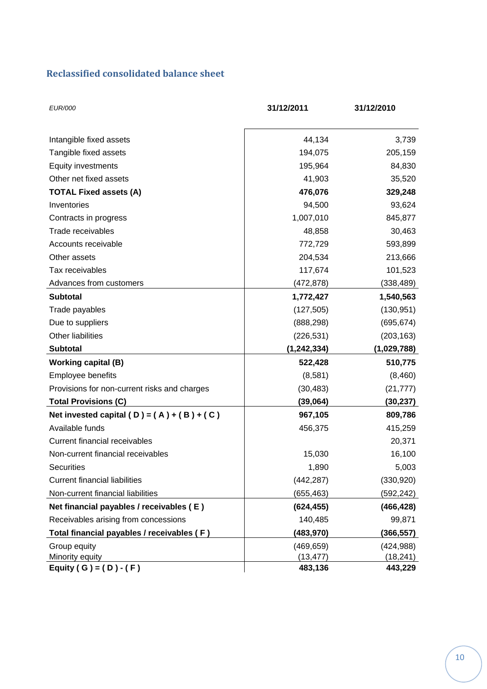# **Reclassified consolidated balance sheet**

| <b>EUR/000</b>                               | 31/12/2011    | 31/12/2010  |
|----------------------------------------------|---------------|-------------|
| Intangible fixed assets                      | 44,134        | 3,739       |
| Tangible fixed assets                        | 194,075       | 205,159     |
| Equity investments                           | 195,964       | 84,830      |
| Other net fixed assets                       | 41,903        | 35,520      |
| <b>TOTAL Fixed assets (A)</b>                | 476,076       | 329,248     |
| Inventories                                  | 94,500        | 93,624      |
| Contracts in progress                        | 1,007,010     | 845,877     |
| Trade receivables                            | 48,858        | 30,463      |
| Accounts receivable                          | 772,729       | 593,899     |
| Other assets                                 | 204,534       | 213,666     |
| Tax receivables                              | 117,674       | 101,523     |
| Advances from customers                      | (472,878)     | (338, 489)  |
| <b>Subtotal</b>                              | 1,772,427     | 1,540,563   |
| Trade payables                               | (127, 505)    | (130, 951)  |
| Due to suppliers                             | (888, 298)    | (695, 674)  |
| <b>Other liabilities</b>                     | (226, 531)    | (203, 163)  |
| <b>Subtotal</b>                              | (1, 242, 334) | (1,029,788) |
| <b>Working capital (B)</b>                   | 522,428       | 510,775     |
| <b>Employee benefits</b>                     | (8,581)       | (8,460)     |
| Provisions for non-current risks and charges | (30, 483)     | (21, 777)   |
| <b>Total Provisions (C)</b>                  | (39,064)      | (30, 237)   |
| Net invested capital (D) = $(A) + (B) + (C)$ | 967,105       | 809,786     |
| Available funds                              | 456,375       | 415,259     |
| <b>Current financial receivables</b>         |               | 20,371      |
| Non-current financial receivables            | 15,030        | 16,100      |
| <b>Securities</b>                            | 1,890         | 5,003       |
| <b>Current financial liabilities</b>         | (442, 287)    | (330, 920)  |
| Non-current financial liabilities            | (655,463)     | (592,242)   |
| Net financial payables / receivables (E)     | (624, 455)    | (466, 428)  |
| Receivables arising from concessions         | 140,485       | 99,871      |
| Total financial payables / receivables (F)   | (483,970)     | (366,557)   |
| Group equity                                 | (469, 659)    | (424, 988)  |
| Minority equity                              | (13, 477)     | (18, 241)   |
| Equity ( G ) = ( D ) - ( F )                 | 483,136       | 443,229     |